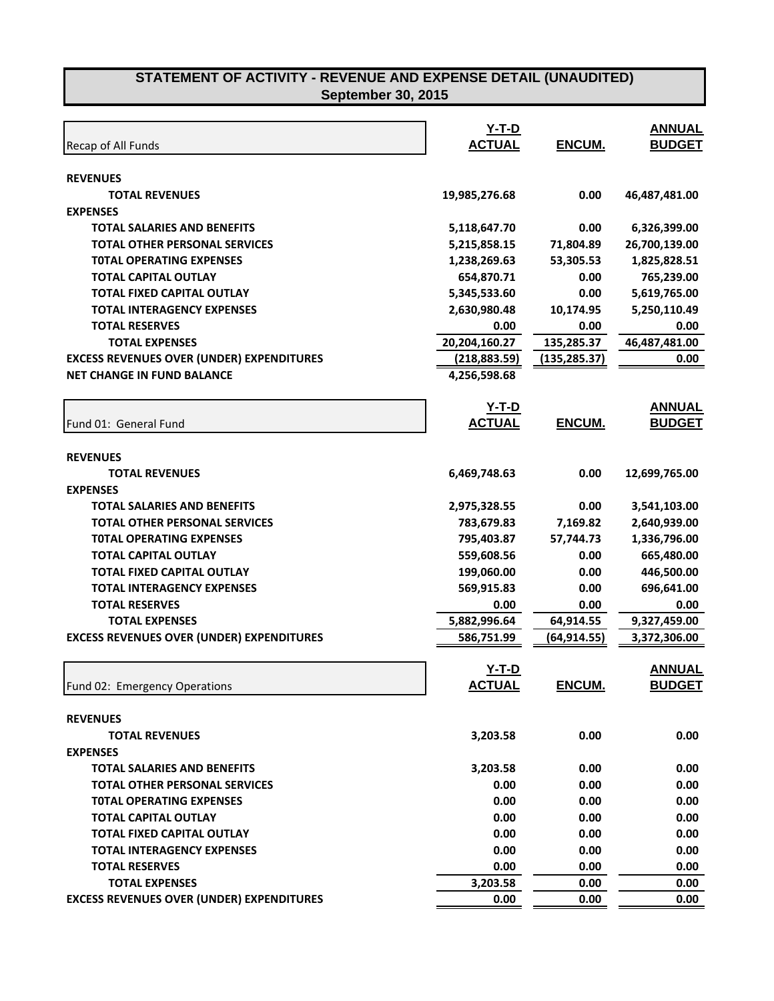| Recap of All Funds                               | $Y-T-D$<br><b>ACTUAL</b> | ENCUM.              | <b>ANNUAL</b><br><b>BUDGET</b> |
|--------------------------------------------------|--------------------------|---------------------|--------------------------------|
| <b>REVENUES</b>                                  |                          |                     |                                |
| <b>TOTAL REVENUES</b>                            | 19,985,276.68            | 0.00                | 46,487,481.00                  |
| <b>EXPENSES</b>                                  |                          |                     |                                |
| <b>TOTAL SALARIES AND BENEFITS</b>               | 5,118,647.70             | 0.00                | 6,326,399.00                   |
| <b>TOTAL OTHER PERSONAL SERVICES</b>             | 5,215,858.15             | 71,804.89           | 26,700,139.00                  |
| <b>TOTAL OPERATING EXPENSES</b>                  | 1,238,269.63             | 53,305.53           | 1,825,828.51                   |
| <b>TOTAL CAPITAL OUTLAY</b>                      | 654,870.71               | 0.00                | 765,239.00                     |
| <b>TOTAL FIXED CAPITAL OUTLAY</b>                | 5,345,533.60             | 0.00                | 5,619,765.00                   |
| <b>TOTAL INTERAGENCY EXPENSES</b>                | 2,630,980.48             | 10,174.95           | 5,250,110.49                   |
| <b>TOTAL RESERVES</b>                            | 0.00                     | 0.00                | 0.00                           |
| <b>TOTAL EXPENSES</b>                            | 20,204,160.27            | 135,285.37          | 46,487,481.00                  |
| <b>EXCESS REVENUES OVER (UNDER) EXPENDITURES</b> | (218, 883.59)            | <u>(135,285.37)</u> | 0.00                           |
| <b>NET CHANGE IN FUND BALANCE</b>                | 4,256,598.68             |                     |                                |
|                                                  | $Y-T-D$                  |                     | <b>ANNUAL</b>                  |
| Fund 01: General Fund                            | <b>ACTUAL</b>            | ENCUM.              | <b>BUDGET</b>                  |
| <b>REVENUES</b>                                  |                          |                     |                                |
| <b>TOTAL REVENUES</b>                            | 6,469,748.63             | 0.00                | 12,699,765.00                  |
| <b>EXPENSES</b>                                  |                          |                     |                                |
| <b>TOTAL SALARIES AND BENEFITS</b>               | 2,975,328.55             | 0.00                | 3,541,103.00                   |
| <b>TOTAL OTHER PERSONAL SERVICES</b>             | 783,679.83               | 7,169.82            | 2,640,939.00                   |
| <b>TOTAL OPERATING EXPENSES</b>                  | 795,403.87               | 57,744.73           | 1,336,796.00                   |
| <b>TOTAL CAPITAL OUTLAY</b>                      | 559,608.56               | 0.00                | 665,480.00                     |
| <b>TOTAL FIXED CAPITAL OUTLAY</b>                | 199,060.00               | 0.00                | 446,500.00                     |
| <b>TOTAL INTERAGENCY EXPENSES</b>                | 569,915.83               | 0.00                | 696,641.00                     |
| <b>TOTAL RESERVES</b>                            | 0.00                     | 0.00                | 0.00                           |
| <b>TOTAL EXPENSES</b>                            | 5,882,996.64             | 64,914.55           | 9,327,459.00                   |
| <b>EXCESS REVENUES OVER (UNDER) EXPENDITURES</b> | 586,751.99               | (64, 914.55)        | 3,372,306.00                   |
|                                                  | Y-T-D                    |                     | <b>ANNUAL</b>                  |
| Fund 02: Emergency Operations                    | <u>ACTUAL</u>            | <u>ENCUM.</u>       | <u>BUDGET</u>                  |
| <b>REVENUES</b>                                  |                          |                     |                                |
| <b>TOTAL REVENUES</b>                            | 3,203.58                 | 0.00                | 0.00                           |
| <b>EXPENSES</b>                                  |                          |                     |                                |
| <b>TOTAL SALARIES AND BENEFITS</b>               | 3,203.58                 | 0.00                | 0.00                           |
| <b>TOTAL OTHER PERSONAL SERVICES</b>             | 0.00                     | 0.00                | 0.00                           |
| <b>TOTAL OPERATING EXPENSES</b>                  | 0.00                     | 0.00                | 0.00                           |
| <b>TOTAL CAPITAL OUTLAY</b>                      | 0.00                     | 0.00                | 0.00                           |
| TOTAL FIXED CAPITAL OUTLAY                       | 0.00                     | 0.00                | 0.00                           |
| <b>TOTAL INTERAGENCY EXPENSES</b>                | 0.00                     | 0.00                | 0.00                           |
| <b>TOTAL RESERVES</b>                            | 0.00                     | 0.00                | 0.00                           |
| <b>TOTAL EXPENSES</b>                            | 3,203.58                 | 0.00                | 0.00                           |
| <b>EXCESS REVENUES OVER (UNDER) EXPENDITURES</b> | 0.00                     | 0.00                | 0.00                           |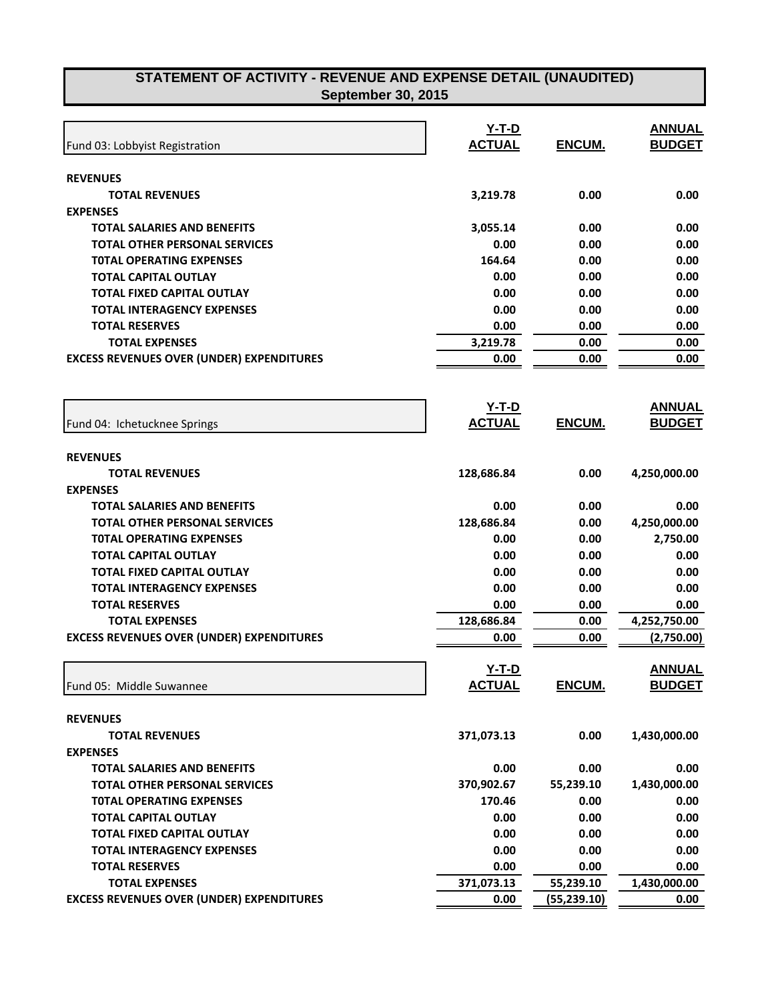| Fund 03: Lobbyist Registration                   | $Y-T-D$<br><b>ACTUAL</b> | ENCUM.       | <b>ANNUAL</b><br><b>BUDGET</b> |
|--------------------------------------------------|--------------------------|--------------|--------------------------------|
| <b>REVENUES</b>                                  |                          |              |                                |
| <b>TOTAL REVENUES</b>                            | 3,219.78                 | 0.00         | 0.00                           |
| <b>EXPENSES</b>                                  |                          |              |                                |
| <b>TOTAL SALARIES AND BENEFITS</b>               | 3,055.14                 | 0.00         | 0.00                           |
| <b>TOTAL OTHER PERSONAL SERVICES</b>             | 0.00                     | 0.00         | 0.00                           |
| <b>TOTAL OPERATING EXPENSES</b>                  | 164.64                   | 0.00         | 0.00                           |
| TOTAL CAPITAL OUTLAY                             | 0.00                     | 0.00         | 0.00                           |
| <b>TOTAL FIXED CAPITAL OUTLAY</b>                | 0.00                     | 0.00         | 0.00                           |
| <b>TOTAL INTERAGENCY EXPENSES</b>                | 0.00                     | 0.00         | 0.00                           |
| <b>TOTAL RESERVES</b>                            | 0.00                     | 0.00         | 0.00                           |
| <b>TOTAL EXPENSES</b>                            | 3,219.78                 | 0.00         | 0.00                           |
| <b>EXCESS REVENUES OVER (UNDER) EXPENDITURES</b> | 0.00                     | 0.00         | 0.00                           |
|                                                  | $Y-T-D$                  |              | <b>ANNUAL</b>                  |
| Fund 04: Ichetucknee Springs                     | <b>ACTUAL</b>            | ENCUM.       | <b>BUDGET</b>                  |
| <b>REVENUES</b>                                  |                          |              |                                |
| <b>TOTAL REVENUES</b>                            | 128,686.84               | 0.00         | 4,250,000.00                   |
| <b>EXPENSES</b>                                  |                          |              |                                |
| <b>TOTAL SALARIES AND BENEFITS</b>               | 0.00                     | 0.00         | 0.00                           |
| <b>TOTAL OTHER PERSONAL SERVICES</b>             | 128,686.84               | 0.00         | 4,250,000.00                   |
| <b>TOTAL OPERATING EXPENSES</b>                  | 0.00                     | 0.00         | 2,750.00                       |
| TOTAL CAPITAL OUTLAY                             | 0.00                     | 0.00         | 0.00                           |
| <b>TOTAL FIXED CAPITAL OUTLAY</b>                | 0.00                     | 0.00         | 0.00                           |
| <b>TOTAL INTERAGENCY EXPENSES</b>                | 0.00                     | 0.00         | 0.00                           |
| <b>TOTAL RESERVES</b>                            | 0.00                     | 0.00         | 0.00                           |
| <b>TOTAL EXPENSES</b>                            | 128,686.84               | 0.00         | 4,252,750.00                   |
| <b>EXCESS REVENUES OVER (UNDER) EXPENDITURES</b> | 0.00                     | 0.00         | (2,750.00)                     |
|                                                  | $Y-T-D$                  |              | <b>ANNUAL</b>                  |
| Fund 05: Middle Suwannee                         | <b>ACTUAL</b>            | ENCUM.       | <b>BUDGET</b>                  |
| <b>REVENUES</b>                                  |                          |              |                                |
| <b>TOTAL REVENUES</b>                            | 371,073.13               | 0.00         | 1,430,000.00                   |
| <b>EXPENSES</b>                                  |                          |              |                                |
| <b>TOTAL SALARIES AND BENEFITS</b>               | 0.00                     | 0.00         | 0.00                           |
| <b>TOTAL OTHER PERSONAL SERVICES</b>             | 370,902.67               | 55,239.10    | 1,430,000.00                   |
| <b>TOTAL OPERATING EXPENSES</b>                  | 170.46                   | 0.00         | 0.00                           |
| <b>TOTAL CAPITAL OUTLAY</b>                      | 0.00                     | 0.00         | 0.00                           |
| <b>TOTAL FIXED CAPITAL OUTLAY</b>                | 0.00                     | 0.00         | 0.00                           |
| <b>TOTAL INTERAGENCY EXPENSES</b>                | 0.00                     | 0.00         | 0.00                           |
| <b>TOTAL RESERVES</b>                            | 0.00                     | 0.00         | 0.00                           |
| <b>TOTAL EXPENSES</b>                            | 371,073.13               | 55,239.10    | 1,430,000.00                   |
| <b>EXCESS REVENUES OVER (UNDER) EXPENDITURES</b> | 0.00                     | (55, 239.10) | 0.00                           |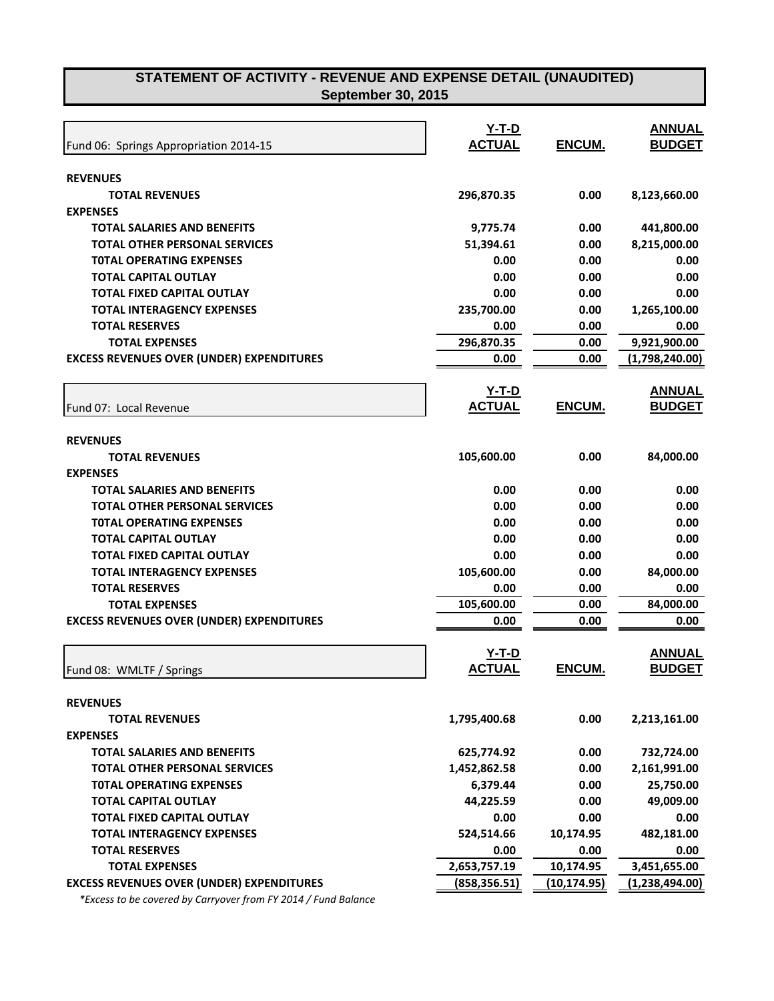| Fund 06: Springs Appropriation 2014-15           | $Y-T-D$<br><b>ACTUAL</b> | ENCUM.       | <b>ANNUAL</b><br><b>BUDGET</b> |
|--------------------------------------------------|--------------------------|--------------|--------------------------------|
| <b>REVENUES</b>                                  |                          |              |                                |
| <b>TOTAL REVENUES</b>                            | 296,870.35               | 0.00         | 8,123,660.00                   |
| <b>EXPENSES</b>                                  |                          |              |                                |
| <b>TOTAL SALARIES AND BENEFITS</b>               | 9,775.74                 | 0.00         | 441,800.00                     |
| <b>TOTAL OTHER PERSONAL SERVICES</b>             | 51,394.61                | 0.00         | 8,215,000.00                   |
| <b>TOTAL OPERATING EXPENSES</b>                  | 0.00                     | 0.00         | 0.00                           |
| <b>TOTAL CAPITAL OUTLAY</b>                      | 0.00                     | 0.00         | 0.00                           |
| <b>TOTAL FIXED CAPITAL OUTLAY</b>                | 0.00                     | 0.00         | 0.00                           |
| <b>TOTAL INTERAGENCY EXPENSES</b>                | 235,700.00               | 0.00         | 1,265,100.00                   |
| <b>TOTAL RESERVES</b>                            | 0.00                     | 0.00         | 0.00                           |
| <b>TOTAL EXPENSES</b>                            | 296,870.35               | 0.00         | 9,921,900.00                   |
| <b>EXCESS REVENUES OVER (UNDER) EXPENDITURES</b> | 0.00                     | 0.00         | (1,798,240.00)                 |
|                                                  |                          |              |                                |
|                                                  | <u>Y-T-D</u>             |              | <b>ANNUAL</b>                  |
| Fund 07: Local Revenue                           | <b>ACTUAL</b>            | ENCUM.       | <b>BUDGET</b>                  |
|                                                  |                          |              |                                |
| <b>REVENUES</b>                                  |                          |              |                                |
| <b>TOTAL REVENUES</b>                            | 105,600.00               | 0.00         | 84,000.00                      |
| <b>EXPENSES</b>                                  |                          |              |                                |
| <b>TOTAL SALARIES AND BENEFITS</b>               | 0.00                     | 0.00         | 0.00                           |
| <b>TOTAL OTHER PERSONAL SERVICES</b>             | 0.00                     | 0.00         | 0.00                           |
| <b>TOTAL OPERATING EXPENSES</b>                  | 0.00                     | 0.00         | 0.00                           |
| TOTAL CAPITAL OUTLAY                             | 0.00                     | 0.00         | 0.00                           |
| <b>TOTAL FIXED CAPITAL OUTLAY</b>                | 0.00                     | 0.00         | 0.00                           |
| <b>TOTAL INTERAGENCY EXPENSES</b>                | 105,600.00               | 0.00         | 84,000.00                      |
| <b>TOTAL RESERVES</b>                            | 0.00                     | 0.00         | 0.00                           |
| <b>TOTAL EXPENSES</b>                            | 105,600.00               | 0.00         | 84,000.00                      |
| <b>EXCESS REVENUES OVER (UNDER) EXPENDITURES</b> | 0.00                     | 0.00         | 0.00                           |
|                                                  |                          |              |                                |
|                                                  | $Y-T-D$                  |              | <b>ANNUAL</b>                  |
| Fund 08: WMLTF / Springs                         | <b>ACTUAL</b>            | ENCUM.       | <b>BUDGET</b>                  |
|                                                  |                          |              |                                |
| <b>REVENUES</b>                                  |                          |              |                                |
| <b>TOTAL REVENUES</b>                            | 1,795,400.68             | 0.00         | 2,213,161.00                   |
| <b>EXPENSES</b>                                  |                          |              |                                |
| <b>TOTAL SALARIES AND BENEFITS</b>               | 625,774.92               | 0.00         | 732,724.00                     |
| <b>TOTAL OTHER PERSONAL SERVICES</b>             | 1,452,862.58             | 0.00         | 2,161,991.00                   |
| <b>TOTAL OPERATING EXPENSES</b>                  | 6,379.44                 | 0.00         | 25,750.00                      |
| <b>TOTAL CAPITAL OUTLAY</b>                      | 44,225.59                | 0.00         | 49,009.00                      |
| <b>TOTAL FIXED CAPITAL OUTLAY</b>                | 0.00                     | 0.00         | 0.00                           |
| <b>TOTAL INTERAGENCY EXPENSES</b>                | 524,514.66               | 10,174.95    | 482,181.00                     |
| <b>TOTAL RESERVES</b>                            | 0.00                     | 0.00         | 0.00                           |
| <b>TOTAL EXPENSES</b>                            | 2,653,757.19             | 10,174.95    | 3,451,655.00                   |
| <b>EXCESS REVENUES OVER (UNDER) EXPENDITURES</b> | (858, 356.51)            | (10, 174.95) | (1,238,494.00)                 |

 *\*Excess to be covered by Carryover from FY 2014 / Fund Balance*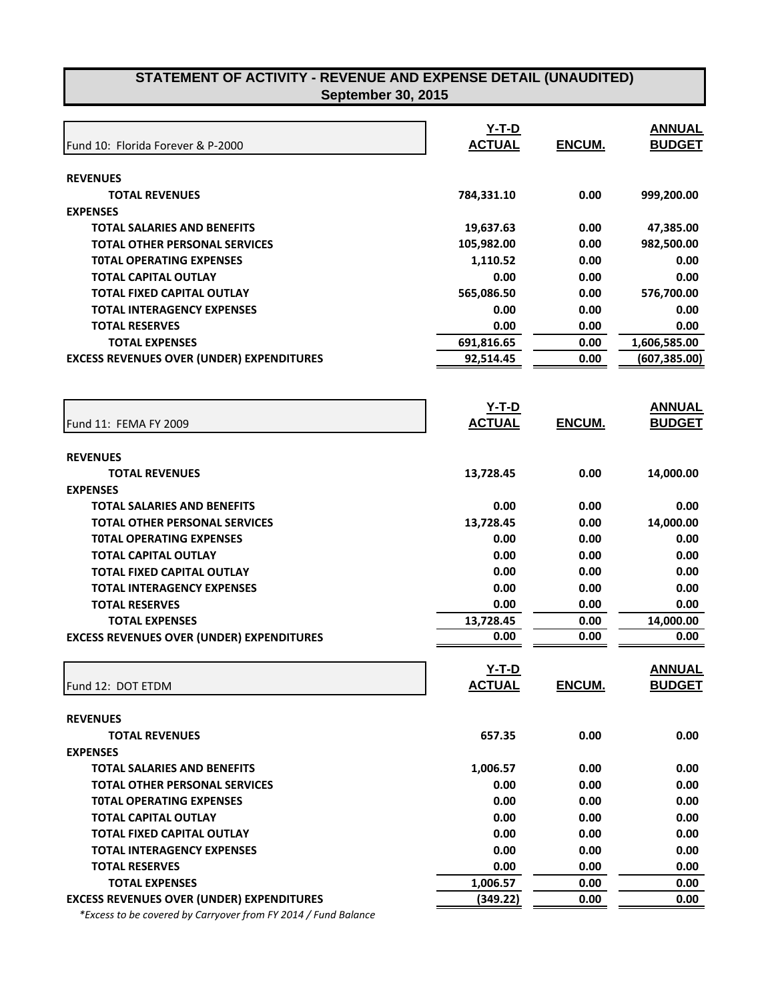| Fund 10: Florida Forever & P-2000                | $Y-T-D$<br><b>ACTUAL</b> | ENCUM. | <b>ANNUAL</b><br><b>BUDGET</b> |
|--------------------------------------------------|--------------------------|--------|--------------------------------|
| <b>REVENUES</b>                                  |                          |        |                                |
| <b>TOTAL REVENUES</b>                            | 784,331.10               | 0.00   | 999,200.00                     |
| <b>EXPENSES</b>                                  |                          |        |                                |
| <b>TOTAL SALARIES AND BENEFITS</b>               | 19,637.63                | 0.00   | 47,385.00                      |
| <b>TOTAL OTHER PERSONAL SERVICES</b>             | 105,982.00               | 0.00   | 982,500.00                     |
| <b>TOTAL OPERATING EXPENSES</b>                  | 1,110.52                 | 0.00   | 0.00                           |
| <b>TOTAL CAPITAL OUTLAY</b>                      | 0.00                     | 0.00   | 0.00                           |
| TOTAL FIXED CAPITAL OUTLAY                       | 565,086.50               | 0.00   | 576,700.00                     |
| <b>TOTAL INTERAGENCY EXPENSES</b>                | 0.00                     | 0.00   | 0.00                           |
| <b>TOTAL RESERVES</b>                            | 0.00                     | 0.00   | 0.00                           |
| <b>TOTAL EXPENSES</b>                            | 691,816.65               | 0.00   | 1,606,585.00                   |
| <b>EXCESS REVENUES OVER (UNDER) EXPENDITURES</b> | 92,514.45                | 0.00   | (607, 385.00)                  |
| Fund 11: FEMA FY 2009                            | $Y-T-D$<br><b>ACTUAL</b> | ENCUM. | <b>ANNUAL</b><br><b>BUDGET</b> |
|                                                  |                          |        |                                |
| <b>REVENUES</b>                                  |                          |        |                                |
| <b>TOTAL REVENUES</b>                            | 13,728.45                | 0.00   | 14,000.00                      |
| <b>EXPENSES</b>                                  |                          |        |                                |
| <b>TOTAL SALARIES AND BENEFITS</b>               | 0.00                     | 0.00   | 0.00                           |
| <b>TOTAL OTHER PERSONAL SERVICES</b>             | 13,728.45                | 0.00   | 14,000.00                      |
| <b>TOTAL OPERATING EXPENSES</b>                  | 0.00                     | 0.00   | 0.00                           |
| TOTAL CAPITAL OUTLAY                             | 0.00                     | 0.00   | 0.00                           |
| TOTAL FIXED CAPITAL OUTLAY                       | 0.00                     | 0.00   | 0.00                           |
| <b>TOTAL INTERAGENCY EXPENSES</b>                | 0.00                     | 0.00   | 0.00                           |
| <b>TOTAL RESERVES</b>                            | 0.00                     | 0.00   | 0.00                           |
| <b>TOTAL EXPENSES</b>                            | 13,728.45                | 0.00   | 14,000.00                      |
| <b>EXCESS REVENUES OVER (UNDER) EXPENDITURES</b> | 0.00                     | 0.00   | 0.00                           |
|                                                  |                          |        |                                |
|                                                  | $Y-T-D$                  |        | <b>ANNUAL</b>                  |
| Fund 12: DOT ETDM                                | <b>ACTUAL</b>            | ENCUM. | <b>BUDGET</b>                  |
|                                                  |                          |        |                                |
| <b>REVENUES</b>                                  |                          |        |                                |
| <b>TOTAL REVENUES</b>                            | 657.35                   | 0.00   | 0.00                           |
| <b>EXPENSES</b>                                  |                          |        |                                |
| <b>TOTAL SALARIES AND BENEFITS</b>               | 1,006.57                 | 0.00   | 0.00                           |
| <b>TOTAL OTHER PERSONAL SERVICES</b>             | 0.00                     | 0.00   | 0.00                           |
| <b>TOTAL OPERATING EXPENSES</b>                  | 0.00                     | 0.00   | 0.00                           |
| TOTAL CAPITAL OUTLAY                             | 0.00                     | 0.00   | 0.00                           |
| TOTAL FIXED CAPITAL OUTLAY                       | 0.00                     | 0.00   | 0.00                           |
| <b>TOTAL INTERAGENCY EXPENSES</b>                | 0.00                     | 0.00   | 0.00                           |
| <b>TOTAL RESERVES</b>                            | 0.00                     | 0.00   | 0.00                           |
| <b>TOTAL EXPENSES</b>                            | 1,006.57                 | 0.00   | 0.00                           |
| <b>EXCESS REVENUES OVER (UNDER) EXPENDITURES</b> | (349.22)                 | 0.00   | 0.00                           |

 *\*Excess to be covered by Carryover from FY 2014 / Fund Balance*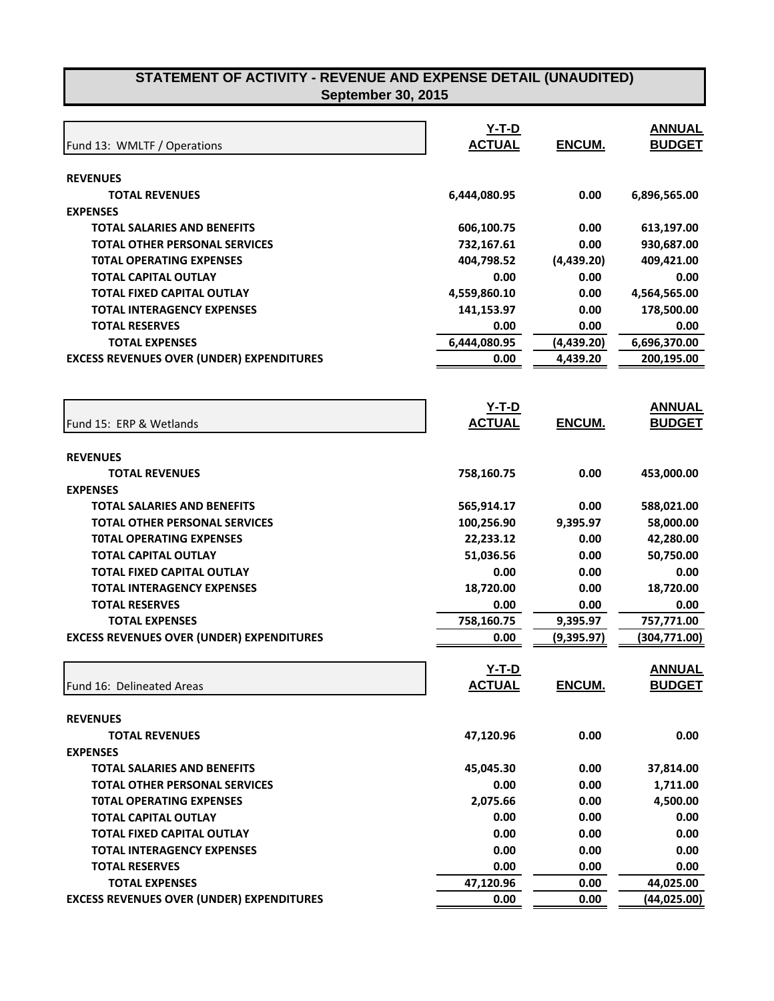| Fund 13: WMLTF / Operations                      | $Y-T-D$<br><b>ACTUAL</b> | ENCUM.        | <b>ANNUAL</b><br><b>BUDGET</b> |
|--------------------------------------------------|--------------------------|---------------|--------------------------------|
| <b>REVENUES</b>                                  |                          |               |                                |
| <b>TOTAL REVENUES</b>                            | 6,444,080.95             | 0.00          | 6,896,565.00                   |
| <b>EXPENSES</b>                                  |                          |               |                                |
| <b>TOTAL SALARIES AND BENEFITS</b>               | 606,100.75               | 0.00          | 613,197.00                     |
| <b>TOTAL OTHER PERSONAL SERVICES</b>             | 732,167.61               | 0.00          | 930,687.00                     |
| <b>TOTAL OPERATING EXPENSES</b>                  | 404,798.52               | (4,439.20)    | 409,421.00                     |
| <b>TOTAL CAPITAL OUTLAY</b>                      | 0.00                     | 0.00          | 0.00                           |
| <b>TOTAL FIXED CAPITAL OUTLAY</b>                | 4,559,860.10             | 0.00          | 4,564,565.00                   |
| <b>TOTAL INTERAGENCY EXPENSES</b>                | 141,153.97               | 0.00          | 178,500.00                     |
| <b>TOTAL RESERVES</b>                            | 0.00                     | 0.00          | 0.00                           |
| <b>TOTAL EXPENSES</b>                            | 6,444,080.95             | (4,439.20)    | 6,696,370.00                   |
| <b>EXCESS REVENUES OVER (UNDER) EXPENDITURES</b> | 0.00                     | 4,439.20      | 200,195.00                     |
|                                                  | <u>Y-T-D</u>             |               | <b>ANNUAL</b>                  |
| Fund 15: ERP & Wetlands                          | <b>ACTUAL</b>            | <b>ENCUM.</b> | <b>BUDGET</b>                  |
| <b>REVENUES</b>                                  |                          |               |                                |
| <b>TOTAL REVENUES</b>                            | 758,160.75               | 0.00          | 453,000.00                     |
| <b>EXPENSES</b>                                  |                          |               |                                |
| <b>TOTAL SALARIES AND BENEFITS</b>               | 565,914.17               | 0.00          | 588,021.00                     |
| <b>TOTAL OTHER PERSONAL SERVICES</b>             | 100,256.90               | 9,395.97      | 58,000.00                      |
| <b>TOTAL OPERATING EXPENSES</b>                  | 22,233.12                | 0.00          | 42,280.00                      |
| <b>TOTAL CAPITAL OUTLAY</b>                      | 51,036.56                | 0.00          | 50,750.00                      |
| <b>TOTAL FIXED CAPITAL OUTLAY</b>                | 0.00                     | 0.00          | 0.00                           |
| <b>TOTAL INTERAGENCY EXPENSES</b>                | 18,720.00                | 0.00          | 18,720.00                      |
| <b>TOTAL RESERVES</b>                            | 0.00                     | 0.00          | 0.00                           |
| <b>TOTAL EXPENSES</b>                            | 758,160.75               | 9,395.97      | 757,771.00                     |
| <b>EXCESS REVENUES OVER (UNDER) EXPENDITURES</b> | 0.00                     | (9,395.97)    | (304, 771.00)                  |
|                                                  | Y-T-D                    |               | <b>ANNUAL</b>                  |
| Fund 16: Delineated Areas                        | <u>ACTUAL</u>            | <u>ENCUM.</u> | <u>BUDGET</u>                  |
| <b>REVENUES</b>                                  |                          |               |                                |
| <b>TOTAL REVENUES</b>                            | 47,120.96                | 0.00          | 0.00                           |
| <b>EXPENSES</b>                                  |                          |               |                                |
| <b>TOTAL SALARIES AND BENEFITS</b>               | 45,045.30                | 0.00          | 37,814.00                      |
| <b>TOTAL OTHER PERSONAL SERVICES</b>             | 0.00                     | 0.00          | 1,711.00                       |
| <b>TOTAL OPERATING EXPENSES</b>                  | 2,075.66                 | 0.00          | 4,500.00                       |
| <b>TOTAL CAPITAL OUTLAY</b>                      | 0.00                     | 0.00          | 0.00                           |
| <b>TOTAL FIXED CAPITAL OUTLAY</b>                | 0.00                     | 0.00          | 0.00                           |
| <b>TOTAL INTERAGENCY EXPENSES</b>                | 0.00                     | 0.00          | 0.00                           |
| <b>TOTAL RESERVES</b>                            | 0.00                     | 0.00          | 0.00                           |
| <b>TOTAL EXPENSES</b>                            | 47,120.96                | 0.00          | 44,025.00                      |
| <b>EXCESS REVENUES OVER (UNDER) EXPENDITURES</b> | 0.00                     | 0.00          | (44, 025.00)                   |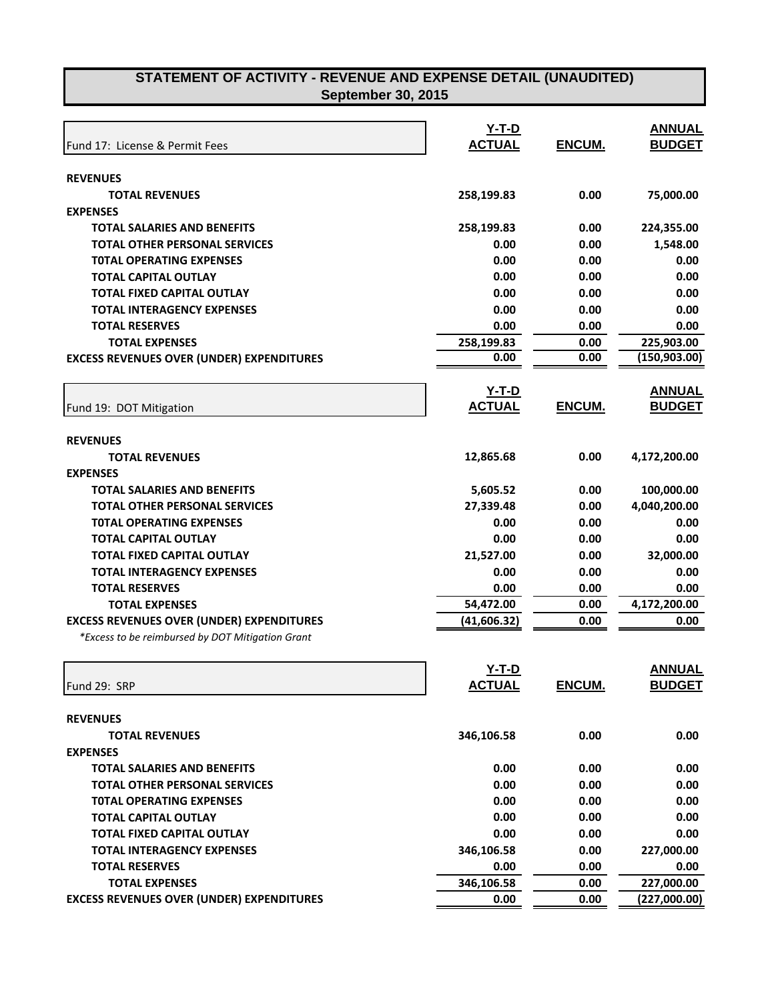| Fund 17: License & Permit Fees                   | $Y-T-D$<br><b>ACTUAL</b> | ENCUM.        | <b>ANNUAL</b><br><b>BUDGET</b> |
|--------------------------------------------------|--------------------------|---------------|--------------------------------|
|                                                  |                          |               |                                |
| <b>REVENUES</b>                                  |                          |               |                                |
| <b>TOTAL REVENUES</b>                            | 258,199.83               | 0.00          | 75,000.00                      |
| <b>EXPENSES</b>                                  |                          |               |                                |
| <b>TOTAL SALARIES AND BENEFITS</b>               | 258,199.83               | 0.00          | 224,355.00                     |
| <b>TOTAL OTHER PERSONAL SERVICES</b>             | 0.00                     | 0.00          | 1,548.00                       |
| <b>TOTAL OPERATING EXPENSES</b>                  | 0.00                     | 0.00          | 0.00                           |
| <b>TOTAL CAPITAL OUTLAY</b>                      | 0.00                     | 0.00          | 0.00                           |
| <b>TOTAL FIXED CAPITAL OUTLAY</b>                | 0.00                     | 0.00          | 0.00                           |
| <b>TOTAL INTERAGENCY EXPENSES</b>                | 0.00                     | 0.00          | 0.00                           |
| <b>TOTAL RESERVES</b>                            | 0.00                     | 0.00          | 0.00                           |
| <b>TOTAL EXPENSES</b>                            | 258,199.83               | 0.00          | 225,903.00                     |
| <b>EXCESS REVENUES OVER (UNDER) EXPENDITURES</b> | 0.00                     | 0.00          | (150, 903.00)                  |
|                                                  | <u>Y-T-D</u>             |               | <b>ANNUAL</b>                  |
| Fund 19: DOT Mitigation                          | <b>ACTUAL</b>            | ENCUM.        | <b>BUDGET</b>                  |
| <b>REVENUES</b>                                  |                          |               |                                |
| <b>TOTAL REVENUES</b>                            | 12,865.68                | 0.00          | 4,172,200.00                   |
| <b>EXPENSES</b>                                  |                          |               |                                |
| <b>TOTAL SALARIES AND BENEFITS</b>               | 5,605.52                 | 0.00          | 100,000.00                     |
| <b>TOTAL OTHER PERSONAL SERVICES</b>             | 27,339.48                | 0.00          | 4,040,200.00                   |
| <b>TOTAL OPERATING EXPENSES</b>                  | 0.00                     | 0.00          | 0.00                           |
| <b>TOTAL CAPITAL OUTLAY</b>                      | 0.00                     | 0.00          | 0.00                           |
| TOTAL FIXED CAPITAL OUTLAY                       | 21,527.00                | 0.00          | 32,000.00                      |
| <b>TOTAL INTERAGENCY EXPENSES</b>                | 0.00                     | 0.00          | 0.00                           |
| <b>TOTAL RESERVES</b>                            | 0.00                     | 0.00          | 0.00                           |
| <b>TOTAL EXPENSES</b>                            | 54,472.00                | 0.00          | 4,172,200.00                   |
| <b>EXCESS REVENUES OVER (UNDER) EXPENDITURES</b> | (41, 606.32)             | 0.00          | 0.00                           |
| *Excess to be reimbursed by DOT Mitigation Grant |                          |               |                                |
|                                                  | $Y-T-D$                  |               | <b>ANNUAL</b>                  |
| Fund 29: SRP                                     | <u>ACTUAL</u>            | <u>ENCUM.</u> | <b>BUDGET</b>                  |
|                                                  |                          |               |                                |
| <b>REVENUES</b>                                  |                          |               |                                |
| <b>TOTAL REVENUES</b>                            | 346,106.58               | 0.00          | 0.00                           |
| <b>EXPENSES</b>                                  |                          |               |                                |
| <b>TOTAL SALARIES AND BENEFITS</b>               | 0.00                     | 0.00          | 0.00                           |
| <b>TOTAL OTHER PERSONAL SERVICES</b>             | 0.00                     | 0.00          | 0.00                           |
| <b>TOTAL OPERATING EXPENSES</b>                  | 0.00                     | 0.00          | 0.00                           |
| <b>TOTAL CAPITAL OUTLAY</b>                      | 0.00                     | 0.00          | 0.00                           |
| <b>TOTAL FIXED CAPITAL OUTLAY</b>                | 0.00                     | 0.00          | 0.00                           |
| <b>TOTAL INTERAGENCY EXPENSES</b>                | 346,106.58               | 0.00          | 227,000.00                     |
| <b>TOTAL RESERVES</b>                            | 0.00                     | 0.00          | 0.00                           |
| <b>TOTAL EXPENSES</b>                            | 346,106.58               | 0.00          | 227,000.00                     |
| <b>EXCESS REVENUES OVER (UNDER) EXPENDITURES</b> | 0.00                     | 0.00          | (227,000.00)                   |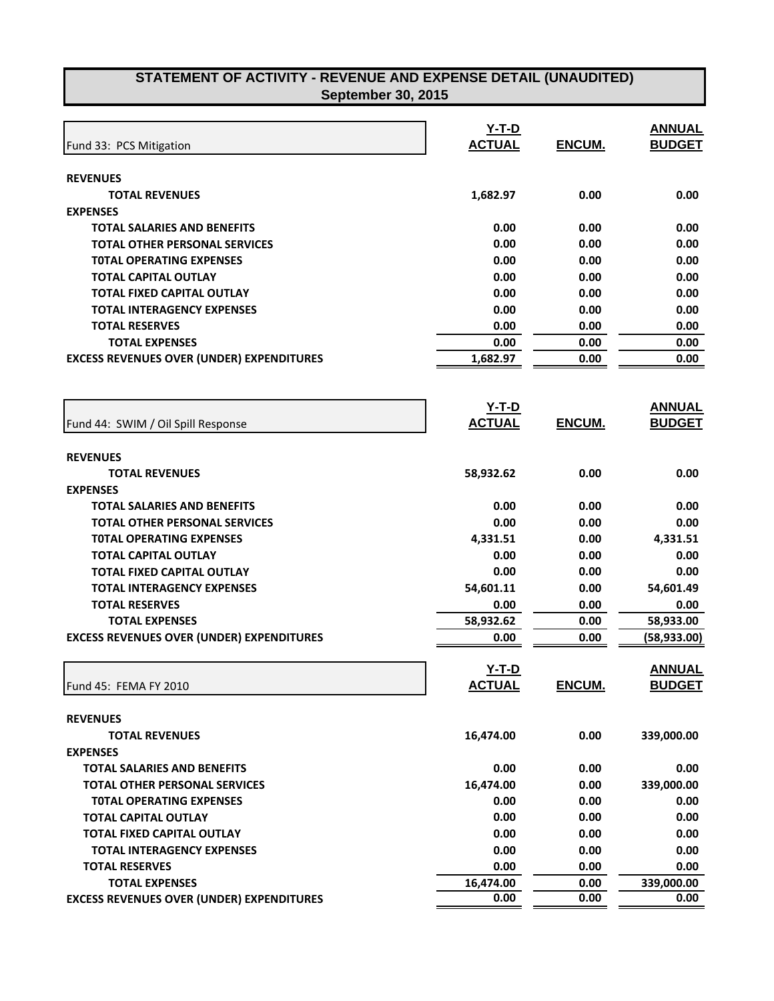| Fund 33: PCS Mitigation                          | $Y-T-D$<br><b>ACTUAL</b> | ENCUM.        | <b>ANNUAL</b><br><b>BUDGET</b> |
|--------------------------------------------------|--------------------------|---------------|--------------------------------|
| <b>REVENUES</b>                                  |                          |               |                                |
| <b>TOTAL REVENUES</b>                            | 1,682.97                 | 0.00          | 0.00                           |
| <b>EXPENSES</b>                                  |                          |               |                                |
| <b>TOTAL SALARIES AND BENEFITS</b>               | 0.00                     | 0.00          | 0.00                           |
| <b>TOTAL OTHER PERSONAL SERVICES</b>             | 0.00                     | 0.00          | 0.00                           |
| <b>TOTAL OPERATING EXPENSES</b>                  | 0.00                     | 0.00          | 0.00                           |
| <b>TOTAL CAPITAL OUTLAY</b>                      | 0.00                     | 0.00          | 0.00                           |
| <b>TOTAL FIXED CAPITAL OUTLAY</b>                | 0.00                     | 0.00          | 0.00                           |
| <b>TOTAL INTERAGENCY EXPENSES</b>                | 0.00                     | 0.00          | 0.00                           |
| <b>TOTAL RESERVES</b>                            | 0.00                     | 0.00          | 0.00                           |
| <b>TOTAL EXPENSES</b>                            | 0.00                     | 0.00          | 0.00                           |
| <b>EXCESS REVENUES OVER (UNDER) EXPENDITURES</b> | 1,682.97                 | 0.00          | 0.00                           |
|                                                  |                          |               |                                |
|                                                  | <u>Y-T-D</u>             |               | <b>ANNUAL</b>                  |
| Fund 44: SWIM / Oil Spill Response               | <b>ACTUAL</b>            | ENCUM.        | <b>BUDGET</b>                  |
| <b>REVENUES</b>                                  |                          |               |                                |
| <b>TOTAL REVENUES</b>                            | 58,932.62                | 0.00          | 0.00                           |
| <b>EXPENSES</b>                                  |                          |               |                                |
| <b>TOTAL SALARIES AND BENEFITS</b>               | 0.00                     | 0.00          | 0.00                           |
| <b>TOTAL OTHER PERSONAL SERVICES</b>             | 0.00                     | 0.00          | 0.00                           |
| <b>TOTAL OPERATING EXPENSES</b>                  | 4,331.51                 | 0.00          | 4,331.51                       |
| <b>TOTAL CAPITAL OUTLAY</b>                      | 0.00                     | 0.00          | 0.00                           |
| <b>TOTAL FIXED CAPITAL OUTLAY</b>                | 0.00                     | 0.00          | 0.00                           |
| <b>TOTAL INTERAGENCY EXPENSES</b>                | 54,601.11                | 0.00          | 54,601.49                      |
| <b>TOTAL RESERVES</b>                            | 0.00                     | 0.00          | 0.00                           |
| <b>TOTAL EXPENSES</b>                            | 58,932.62                | 0.00          | 58,933.00                      |
| <b>EXCESS REVENUES OVER (UNDER) EXPENDITURES</b> | 0.00                     | 0.00          | (58, 933.00)                   |
|                                                  | $Y-T-D$                  |               | <b>ANNUAL</b>                  |
| Fund 45: FEMA FY 2010                            | <u>ACTUAL</u>            | <u>ENCUM.</u> | <u>BUDGET</u>                  |
| <b>REVENUES</b>                                  |                          |               |                                |
| <b>TOTAL REVENUES</b>                            | 16,474.00                | 0.00          | 339,000.00                     |
| <b>EXPENSES</b>                                  |                          |               |                                |
| <b>TOTAL SALARIES AND BENEFITS</b>               | 0.00                     | 0.00          | 0.00                           |
| <b>TOTAL OTHER PERSONAL SERVICES</b>             | 16,474.00                | 0.00          | 339,000.00                     |
| <b>TOTAL OPERATING EXPENSES</b>                  | 0.00                     | 0.00          | 0.00                           |
| <b>TOTAL CAPITAL OUTLAY</b>                      | 0.00                     | 0.00          | 0.00                           |
| TOTAL FIXED CAPITAL OUTLAY                       | 0.00                     | 0.00          | 0.00                           |
| <b>TOTAL INTERAGENCY EXPENSES</b>                | 0.00                     | 0.00          | 0.00                           |
| <b>TOTAL RESERVES</b>                            | 0.00                     | 0.00          | 0.00                           |
| <b>TOTAL EXPENSES</b>                            | 16,474.00                | 0.00          | 339,000.00                     |
| <b>EXCESS REVENUES OVER (UNDER) EXPENDITURES</b> | 0.00                     | 0.00          | 0.00                           |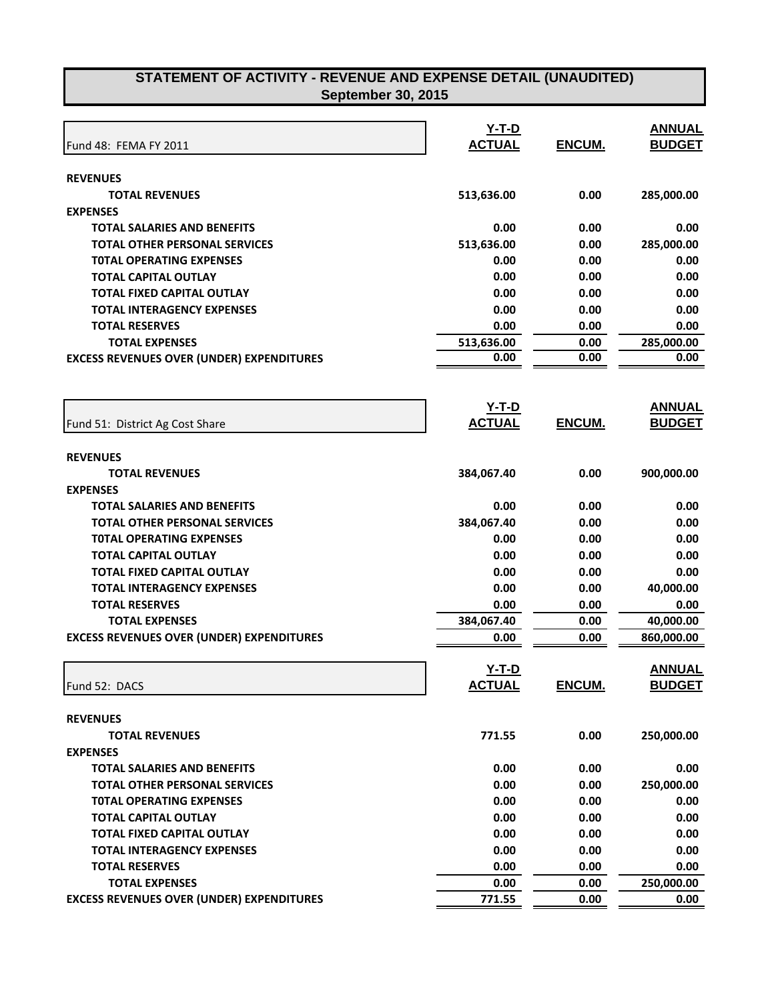| Fund 48: FEMA FY 2011                            | $Y-T-D$<br><b>ACTUAL</b> | ENCUM.        | <b>ANNUAL</b><br><b>BUDGET</b> |
|--------------------------------------------------|--------------------------|---------------|--------------------------------|
| <b>REVENUES</b>                                  |                          |               |                                |
| <b>TOTAL REVENUES</b>                            | 513,636.00               | 0.00          | 285,000.00                     |
| <b>EXPENSES</b>                                  |                          |               |                                |
| <b>TOTAL SALARIES AND BENEFITS</b>               | 0.00                     | 0.00          | 0.00                           |
| <b>TOTAL OTHER PERSONAL SERVICES</b>             | 513,636.00               | 0.00          | 285,000.00                     |
| <b>TOTAL OPERATING EXPENSES</b>                  | 0.00                     | 0.00          | 0.00                           |
| TOTAL CAPITAL OUTLAY                             | 0.00                     | 0.00          | 0.00                           |
| <b>TOTAL FIXED CAPITAL OUTLAY</b>                | 0.00                     | 0.00          | 0.00                           |
| <b>TOTAL INTERAGENCY EXPENSES</b>                | 0.00                     | 0.00          | 0.00                           |
| <b>TOTAL RESERVES</b>                            | 0.00                     | 0.00          | 0.00                           |
| <b>TOTAL EXPENSES</b>                            | 513,636.00               | 0.00          | 285,000.00                     |
| <b>EXCESS REVENUES OVER (UNDER) EXPENDITURES</b> | 0.00                     | 0.00          | 0.00                           |
|                                                  |                          |               |                                |
|                                                  | $Y-T-D$                  |               | <b>ANNUAL</b>                  |
| Fund 51: District Ag Cost Share                  | <b>ACTUAL</b>            | ENCUM.        | <b>BUDGET</b>                  |
| <b>REVENUES</b>                                  |                          |               |                                |
| <b>TOTAL REVENUES</b>                            | 384,067.40               | 0.00          | 900,000.00                     |
| <b>EXPENSES</b>                                  |                          |               |                                |
| <b>TOTAL SALARIES AND BENEFITS</b>               | 0.00                     | 0.00          | 0.00                           |
| <b>TOTAL OTHER PERSONAL SERVICES</b>             | 384,067.40               | 0.00          | 0.00                           |
| <b>TOTAL OPERATING EXPENSES</b>                  | 0.00                     | 0.00          | 0.00                           |
| TOTAL CAPITAL OUTLAY                             | 0.00                     | 0.00          | 0.00                           |
| TOTAL FIXED CAPITAL OUTLAY                       | 0.00                     | 0.00          | 0.00                           |
| <b>TOTAL INTERAGENCY EXPENSES</b>                | 0.00                     | 0.00          | 40,000.00                      |
| <b>TOTAL RESERVES</b>                            | 0.00                     | 0.00          | 0.00                           |
| <b>TOTAL EXPENSES</b>                            | 384,067.40               | 0.00          | 40,000.00                      |
| <b>EXCESS REVENUES OVER (UNDER) EXPENDITURES</b> | 0.00                     | 0.00          | 860,000.00                     |
|                                                  | Y-T-D                    |               | <b>ANNUAL</b>                  |
| Fund 52: DACS                                    | <b>ACTUAL</b>            | <u>ENCUM.</u> | <b>BUDGET</b>                  |
| <b>REVENUES</b>                                  |                          |               |                                |
| <b>TOTAL REVENUES</b>                            | 771.55                   | 0.00          | 250,000.00                     |
| <b>EXPENSES</b>                                  |                          |               |                                |
| <b>TOTAL SALARIES AND BENEFITS</b>               | 0.00                     | 0.00          | 0.00                           |
| <b>TOTAL OTHER PERSONAL SERVICES</b>             | 0.00                     | 0.00          | 250,000.00                     |
| <b>TOTAL OPERATING EXPENSES</b>                  | 0.00                     | 0.00          | 0.00                           |
| <b>TOTAL CAPITAL OUTLAY</b>                      | 0.00                     | 0.00          | 0.00                           |
| <b>TOTAL FIXED CAPITAL OUTLAY</b>                | 0.00                     | 0.00          | 0.00                           |
| <b>TOTAL INTERAGENCY EXPENSES</b>                | 0.00                     | 0.00          | 0.00                           |
| <b>TOTAL RESERVES</b>                            | 0.00                     | 0.00          | 0.00                           |
| <b>TOTAL EXPENSES</b>                            | 0.00                     | 0.00          | 250,000.00                     |
| <b>EXCESS REVENUES OVER (UNDER) EXPENDITURES</b> | 771.55                   | 0.00          | 0.00                           |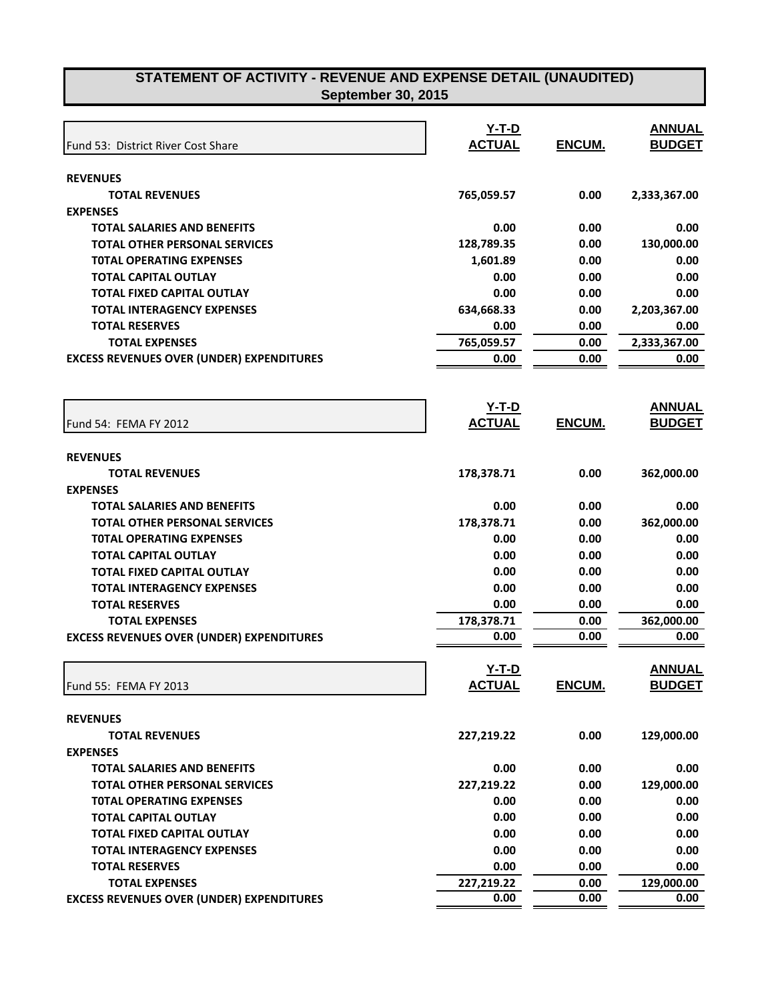| Fund 53: District River Cost Share               | $Y-T-D$<br><b>ACTUAL</b> | ENCUM.        | <b>ANNUAL</b><br><b>BUDGET</b> |
|--------------------------------------------------|--------------------------|---------------|--------------------------------|
| <b>REVENUES</b>                                  |                          |               |                                |
| <b>TOTAL REVENUES</b>                            | 765,059.57               | 0.00          | 2,333,367.00                   |
| <b>EXPENSES</b>                                  |                          |               |                                |
| <b>TOTAL SALARIES AND BENEFITS</b>               | 0.00                     | 0.00          | 0.00                           |
| <b>TOTAL OTHER PERSONAL SERVICES</b>             | 128,789.35               | 0.00          | 130,000.00                     |
| <b>TOTAL OPERATING EXPENSES</b>                  | 1,601.89                 | 0.00          | 0.00                           |
| <b>TOTAL CAPITAL OUTLAY</b>                      | 0.00                     | 0.00          | 0.00                           |
| <b>TOTAL FIXED CAPITAL OUTLAY</b>                | 0.00                     | 0.00          | 0.00                           |
| <b>TOTAL INTERAGENCY EXPENSES</b>                | 634,668.33               | 0.00          | 2,203,367.00                   |
| <b>TOTAL RESERVES</b>                            | 0.00                     | 0.00          | 0.00                           |
| <b>TOTAL EXPENSES</b>                            | 765,059.57               | 0.00          | 2,333,367.00                   |
| <b>EXCESS REVENUES OVER (UNDER) EXPENDITURES</b> | 0.00                     | 0.00          | 0.00                           |
|                                                  |                          |               |                                |
| Fund 54: FEMA FY 2012                            | $Y-T-D$<br><b>ACTUAL</b> | <b>ENCUM.</b> | <b>ANNUAL</b><br><b>BUDGET</b> |
| <b>REVENUES</b>                                  |                          |               |                                |
| <b>TOTAL REVENUES</b>                            | 178,378.71               | 0.00          | 362,000.00                     |
| <b>EXPENSES</b>                                  |                          |               |                                |
| <b>TOTAL SALARIES AND BENEFITS</b>               | 0.00                     | 0.00          | 0.00                           |
| <b>TOTAL OTHER PERSONAL SERVICES</b>             | 178,378.71               | 0.00          | 362,000.00                     |
| <b>TOTAL OPERATING EXPENSES</b>                  | 0.00                     | 0.00          | 0.00                           |
| <b>TOTAL CAPITAL OUTLAY</b>                      | 0.00                     | 0.00          | 0.00                           |
| <b>TOTAL FIXED CAPITAL OUTLAY</b>                | 0.00                     | 0.00          | 0.00                           |
| <b>TOTAL INTERAGENCY EXPENSES</b>                | 0.00                     | 0.00          | 0.00                           |
| <b>TOTAL RESERVES</b>                            | 0.00                     | 0.00          | 0.00                           |
| <b>TOTAL EXPENSES</b>                            | 178,378.71               | 0.00          | 362,000.00                     |
| <b>EXCESS REVENUES OVER (UNDER) EXPENDITURES</b> | 0.00                     | 0.00          | 0.00                           |
|                                                  | $Y-T-D$                  |               | <b>ANNUAL</b>                  |
| Fund 55: FEMA FY 2013                            | <b>ACTUAL</b>            | ENCUM.        | <b>BUDGET</b>                  |
| <b>REVENUES</b>                                  |                          |               |                                |
| <b>TOTAL REVENUES</b>                            | 227,219.22               | 0.00          | 129,000.00                     |
| <b>EXPENSES</b>                                  |                          |               |                                |
| <b>TOTAL SALARIES AND BENEFITS</b>               | 0.00                     | 0.00          | 0.00                           |
| <b>TOTAL OTHER PERSONAL SERVICES</b>             | 227,219.22               | 0.00          | 129,000.00                     |
| <b>TOTAL OPERATING EXPENSES</b>                  | 0.00                     | 0.00          | 0.00                           |
| <b>TOTAL CAPITAL OUTLAY</b>                      | 0.00                     | 0.00          | 0.00                           |
| TOTAL FIXED CAPITAL OUTLAY                       | 0.00                     | 0.00          | 0.00                           |
| <b>TOTAL INTERAGENCY EXPENSES</b>                | 0.00                     | 0.00          | 0.00                           |
| <b>TOTAL RESERVES</b>                            | 0.00                     | 0.00          | 0.00                           |
| <b>TOTAL EXPENSES</b>                            | 227,219.22               | 0.00          | 129,000.00                     |
| <b>EXCESS REVENUES OVER (UNDER) EXPENDITURES</b> | 0.00                     | 0.00          | 0.00                           |